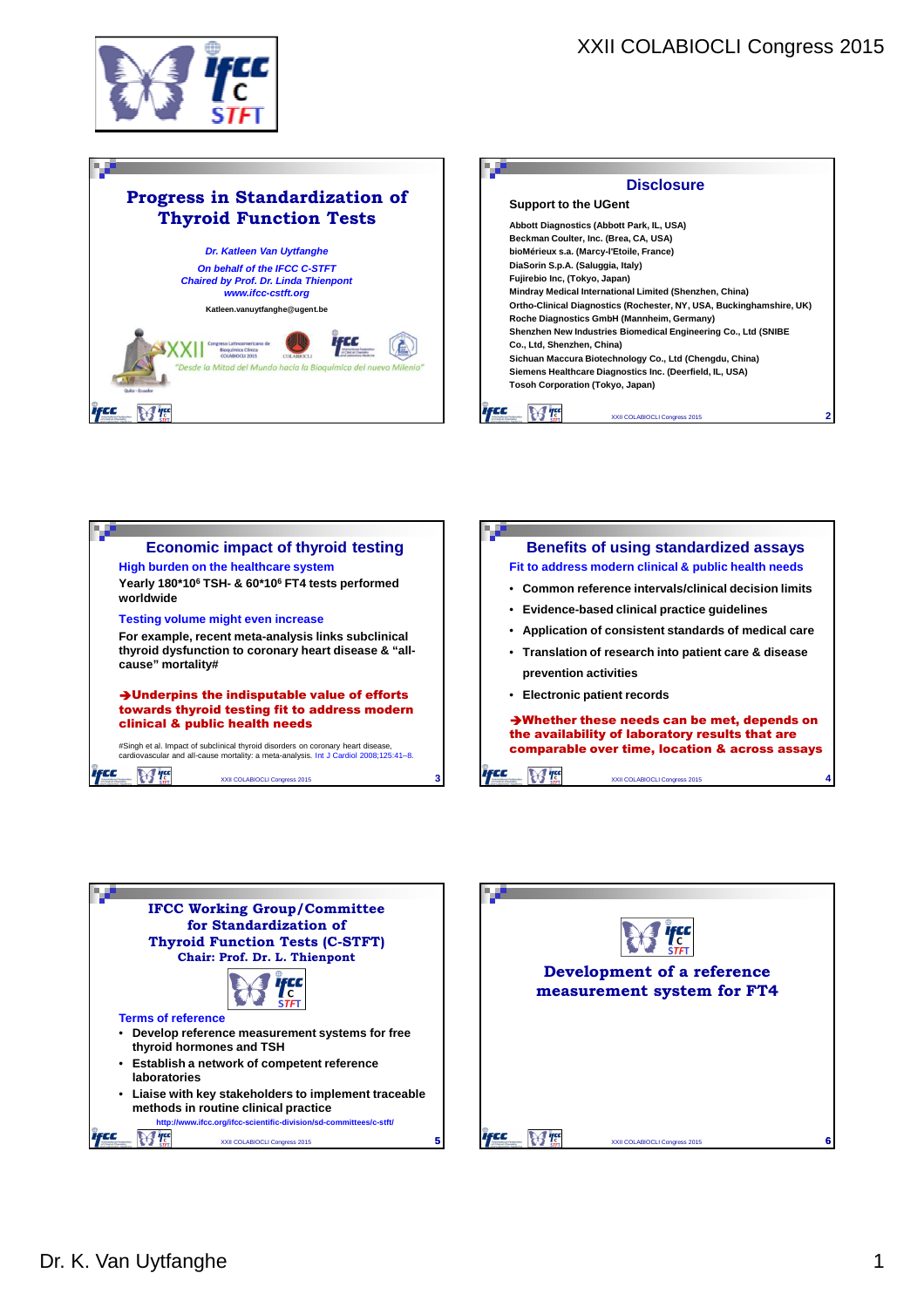









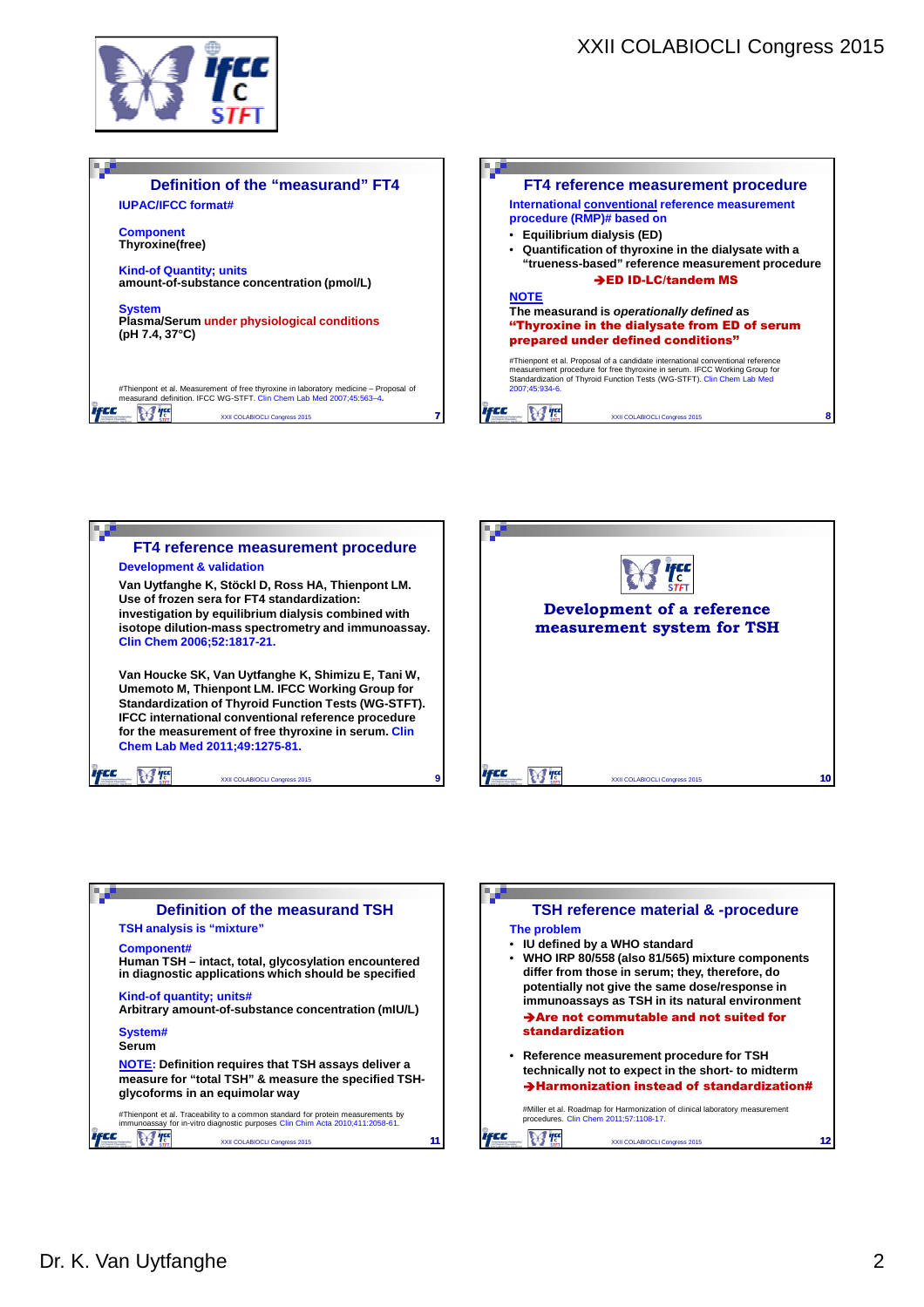

## **Definition of the "measurand" FT4 Example of the "measurand" FT4**<br>
International <u>conventional</u> reference measurement<br>
procedure (RMP)# based on<br>
<br> **COLABIOCLY**<br> **COLABIOCLE**<br> **COLABIOCLE**<br> **EXECUTE:**<br> **EXECUTEMPLE TO A COLABIOCAL CONSISTED ON SECUTEMPLE IUPAC/IFCC format# International conventional reference measurement procedure (RMP)# based on Component** • **Equilibrium dialysis (ED) Thyroxine(free)** • **Quantification of thyroxine in the dialysate with a "trueness-based" reference measurement procedure Kind-of Quantity; units** ED ID-LC/tandem MS **amount-of-substance concentration (pmol/L) NOTE System The measurand is operationally defined as Plasma/Serum under physiological conditions**  ''Thyroxine in the dialysate from ED of serum **(pH 7.4, 37°C)** prepared under defined conditions'' #Thienpont et al. Proposal of a candidate international conventional reference<br>measurement procedure for free thyroxine in serum. IFCC Working Group for<br>Standardization of Thyroid Function Tests (WG-STFT). Clin Chem Lab Me 2007;45:934-6. #Thienpont et al. Measurement of free thyroxine in laboratory medicine – Proposal of measurand definition. IFCC WG-STFT. Clin Chem Lab Med 2007;45:563–4**.**  $M$   $T_c$ i FCC XXII COLABIOCLI Congress 2015 **8 7**







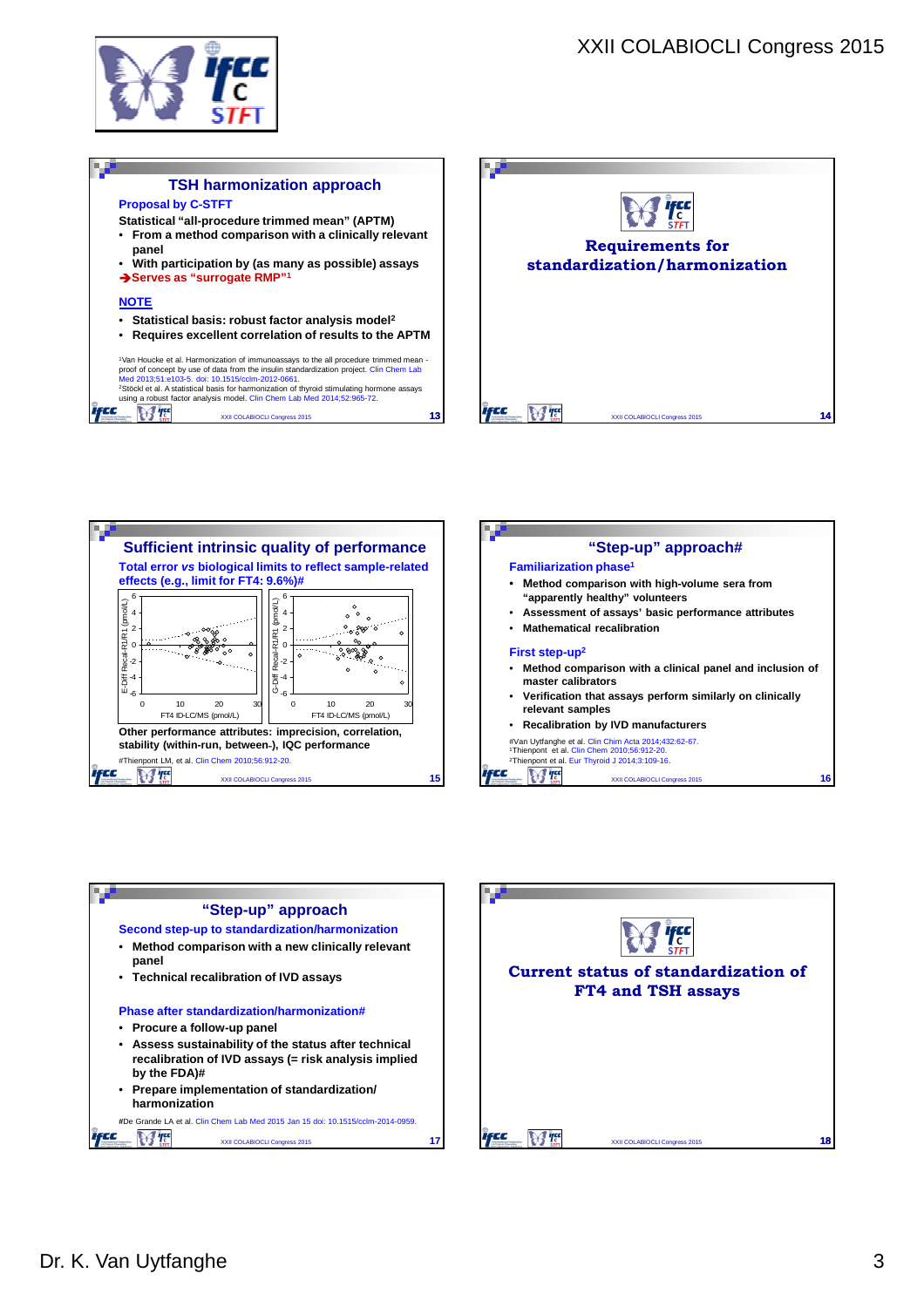

ifec

 $H$ 



**13**









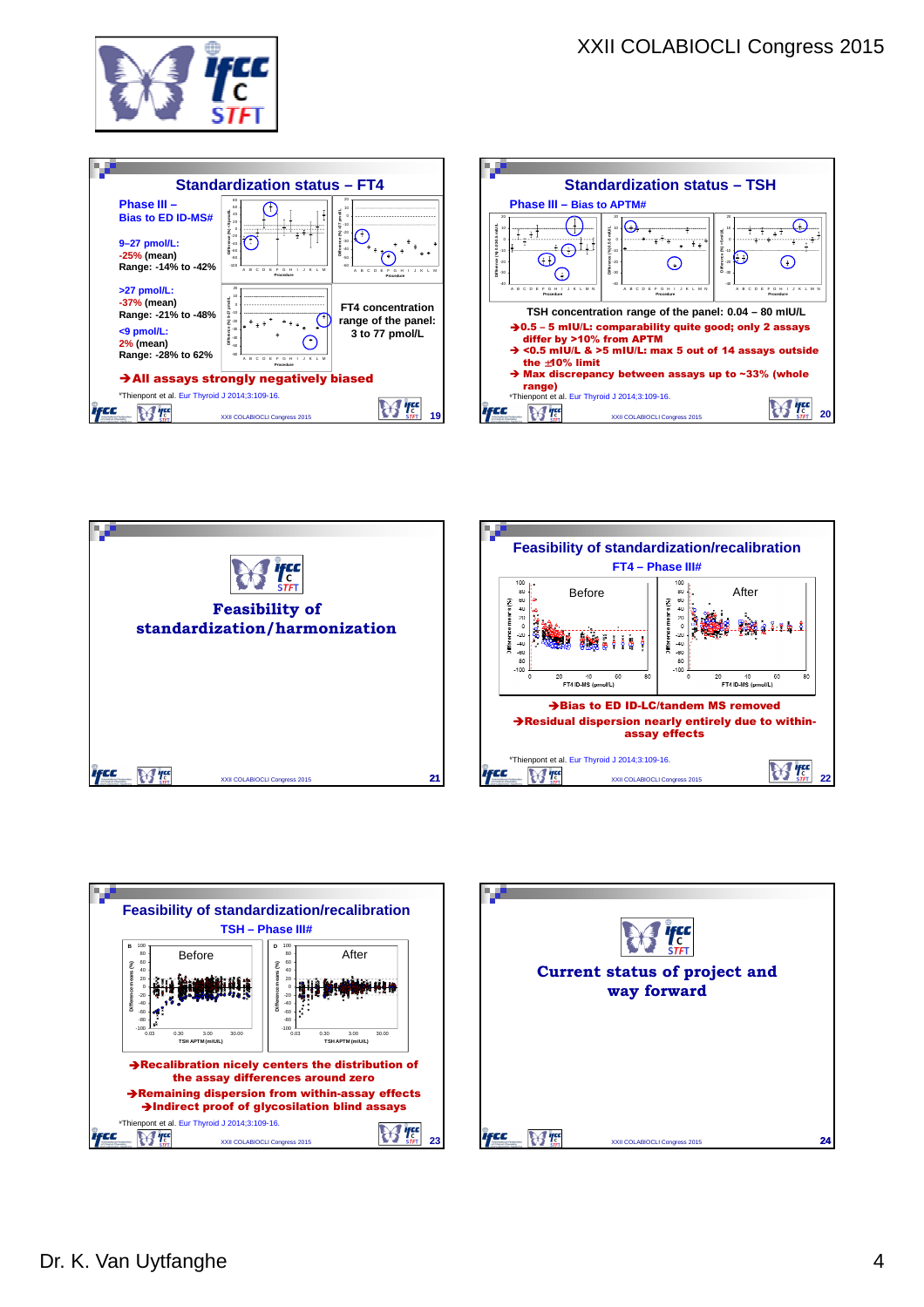